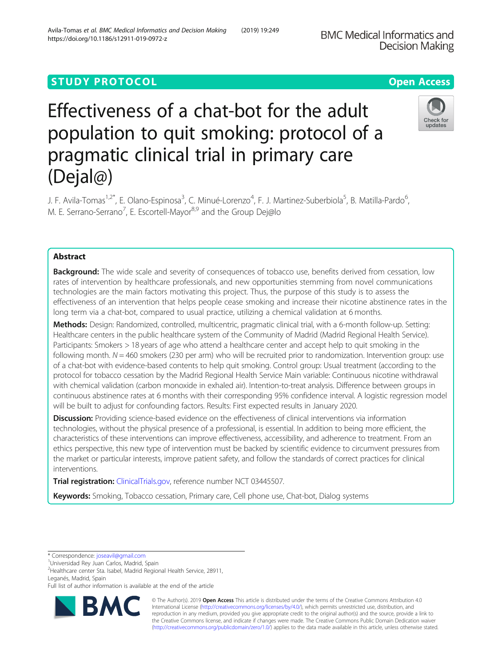## **STUDY PROTOCOL CONSUMING THE RESERVE ACCESS**

# Effectiveness of a chat-bot for the adult population to quit smoking: protocol of a pragmatic clinical trial in primary care (Dejal@)

J. F. Avila-Tomas<sup>1,2\*</sup>, E. Olano-Espinosa<sup>3</sup>, C. Minué-Lorenzo<sup>4</sup>, F. J. Martinez-Suberbiola<sup>5</sup>, B. Matilla-Pardo<sup>6</sup> , M. E. Serrano-Serrano<sup>7</sup>, E. Escortell-Mayor<sup>8,9</sup> and the Group Dej@lo

### Abstract

**Background:** The wide scale and severity of consequences of tobacco use, benefits derived from cessation, low rates of intervention by healthcare professionals, and new opportunities stemming from novel communications technologies are the main factors motivating this project. Thus, the purpose of this study is to assess the effectiveness of an intervention that helps people cease smoking and increase their nicotine abstinence rates in the long term via a chat-bot, compared to usual practice, utilizing a chemical validation at 6 months.

Methods: Design: Randomized, controlled, multicentric, pragmatic clinical trial, with a 6-month follow-up. Setting: Healthcare centers in the public healthcare system of the Community of Madrid (Madrid Regional Health Service). Participants: Smokers > 18 years of age who attend a healthcare center and accept help to quit smoking in the following month.  $N = 460$  smokers (230 per arm) who will be recruited prior to randomization. Intervention group: use of a chat-bot with evidence-based contents to help quit smoking. Control group: Usual treatment (according to the protocol for tobacco cessation by the Madrid Regional Health Service Main variable: Continuous nicotine withdrawal with chemical validation (carbon monoxide in exhaled air). Intention-to-treat analysis. Difference between groups in continuous abstinence rates at 6 months with their corresponding 95% confidence interval. A logistic regression model will be built to adjust for confounding factors. Results: First expected results in January 2020.

Discussion: Providing science-based evidence on the effectiveness of clinical interventions via information technologies, without the physical presence of a professional, is essential. In addition to being more efficient, the characteristics of these interventions can improve effectiveness, accessibility, and adherence to treatment. From an ethics perspective, this new type of intervention must be backed by scientific evidence to circumvent pressures from the market or particular interests, improve patient safety, and follow the standards of correct practices for clinical interventions.

Trial registration: [ClinicalTrials.gov,](http://clinicaltrials.gov) reference number NCT 03445507.

Keywords: Smoking, Tobacco cessation, Primary care, Cell phone use, Chat-bot, Dialog systems

© The Author(s). 2019 **Open Access** This article is distributed under the terms of the Creative Commons Attribution 4.0 International License [\(http://creativecommons.org/licenses/by/4.0/](http://creativecommons.org/licenses/by/4.0/)), which permits unrestricted use, distribution, and reproduction in any medium, provided you give appropriate credit to the original author(s) and the source, provide a link to the Creative Commons license, and indicate if changes were made. The Creative Commons Public Domain Dedication waiver [\(http://creativecommons.org/publicdomain/zero/1.0/](http://creativecommons.org/publicdomain/zero/1.0/)) applies to the data made available in this article, unless otherwise stated.

Avila-Tomas et al. BMC Medical Informatics and Decision Making (2019) 19:249





<sup>\*</sup> Correspondence: [joseavil@gmail.com](mailto:joseavil@gmail.com) <sup>1</sup>

<sup>&</sup>lt;sup>1</sup>Universidad Rey Juan Carlos, Madrid, Spain

<sup>2</sup> Healthcare center Sta. Isabel, Madrid Regional Health Service, 28911, Leganés, Madrid, Spain

Full list of author information is available at the end of the article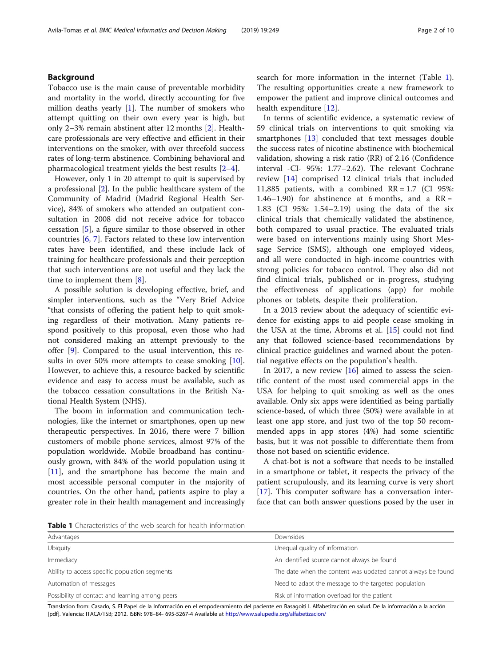#### Background

Tobacco use is the main cause of preventable morbidity and mortality in the world, directly accounting for five million deaths yearly  $[1]$  $[1]$ . The number of smokers who attempt quitting on their own every year is high, but only 2–3% remain abstinent after 12 months [\[2](#page-8-0)]. Healthcare professionals are very effective and efficient in their interventions on the smoker, with over threefold success rates of long-term abstinence. Combining behavioral and pharmacological treatment yields the best results [\[2](#page-8-0)–[4](#page-8-0)].

However, only 1 in 20 attempt to quit is supervised by a professional [[2\]](#page-8-0). In the public healthcare system of the Community of Madrid (Madrid Regional Health Service), 84% of smokers who attended an outpatient consultation in 2008 did not receive advice for tobacco cessation [\[5](#page-8-0)], a figure similar to those observed in other countries [[6,](#page-8-0) [7\]](#page-8-0). Factors related to these low intervention rates have been identified, and these include lack of training for healthcare professionals and their perception that such interventions are not useful and they lack the time to implement them [\[8](#page-8-0)].

A possible solution is developing effective, brief, and simpler interventions, such as the "Very Brief Advice "that consists of offering the patient help to quit smoking regardless of their motivation. Many patients respond positively to this proposal, even those who had not considered making an attempt previously to the offer [[9](#page-8-0)]. Compared to the usual intervention, this re-sults in over 50% more attempts to cease smoking [\[10](#page-8-0)]. However, to achieve this, a resource backed by scientific evidence and easy to access must be available, such as the tobacco cessation consultations in the British National Health System (NHS).

The boom in information and communication technologies, like the internet or smartphones, open up new therapeutic perspectives. In 2016, there were 7 billion customers of mobile phone services, almost 97% of the population worldwide. Mobile broadband has continuously grown, with 84% of the world population using it [[11\]](#page-8-0), and the smartphone has become the main and most accessible personal computer in the majority of countries. On the other hand, patients aspire to play a greater role in their health management and increasingly search for more information in the internet (Table 1). The resulting opportunities create a new framework to empower the patient and improve clinical outcomes and health expenditure [\[12](#page-8-0)].

In terms of scientific evidence, a systematic review of 59 clinical trials on interventions to quit smoking via smartphones [[13\]](#page-8-0) concluded that text messages double the success rates of nicotine abstinence with biochemical validation, showing a risk ratio (RR) of 2.16 (Confidence interval -CI- 95%: 1.77–2.62). The relevant Cochrane review [[14\]](#page-8-0) comprised 12 clinical trials that included 11,885 patients, with a combined  $RR = 1.7$  (CI 95%: 1.46–1.90) for abstinence at 6 months, and a  $RR =$ 1.83 (CI 95%: 1.54–2.19) using the data of the six clinical trials that chemically validated the abstinence, both compared to usual practice. The evaluated trials were based on interventions mainly using Short Message Service (SMS), although one employed videos, and all were conducted in high-income countries with strong policies for tobacco control. They also did not find clinical trials, published or in-progress, studying the effectiveness of applications (app) for mobile phones or tablets, despite their proliferation.

In a 2013 review about the adequacy of scientific evidence for existing apps to aid people cease smoking in the USA at the time, Abroms et al. [[15](#page-8-0)] could not find any that followed science-based recommendations by clinical practice guidelines and warned about the potential negative effects on the population's health.

In 2017, a new review  $[16]$  $[16]$  aimed to assess the scientific content of the most used commercial apps in the USA for helping to quit smoking as well as the ones available. Only six apps were identified as being partially science-based, of which three (50%) were available in at least one app store, and just two of the top 50 recommended apps in app stores (4%) had some scientific basis, but it was not possible to differentiate them from those not based on scientific evidence.

A chat-bot is not a software that needs to be installed in a smartphone or tablet, it respects the privacy of the patient scrupulously, and its learning curve is very short [[17\]](#page-8-0). This computer software has a conversation interface that can both answer questions posed by the user in

Table 1 Characteristics of the web search for health information

| Advantages                                      | Downsides                                                    |  |
|-------------------------------------------------|--------------------------------------------------------------|--|
| Ubiquity                                        | Unequal quality of information                               |  |
| Immediacy                                       | An identified source cannot always be found                  |  |
| Ability to access specific population segments  | The date when the content was updated cannot always be found |  |
| Automation of messages                          | Need to adapt the message to the targeted population         |  |
| Possibility of contact and learning among peers | Risk of information overload for the patient                 |  |
|                                                 |                                                              |  |

Translation from: Casado, S. El Papel de la Información en el empoderamiento del paciente en Basagoiti I. Alfabetización en salud. De la información a la acción [pdf]. Valencia: ITACA/TSB; 2012. ISBN: 978–84- 695-5267-4 Available at <http://www.salupedia.org/alfabetizacion/>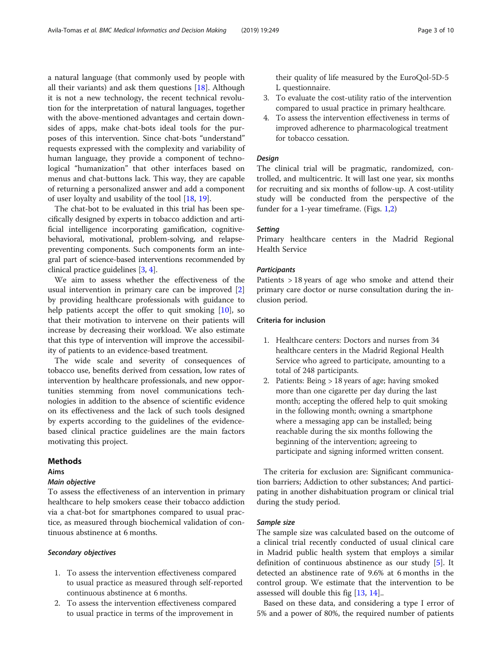a natural language (that commonly used by people with all their variants) and ask them questions  $[18]$  $[18]$ . Although it is not a new technology, the recent technical revolution for the interpretation of natural languages, together with the above-mentioned advantages and certain downsides of apps, make chat-bots ideal tools for the purposes of this intervention. Since chat-bots "understand" requests expressed with the complexity and variability of human language, they provide a component of technological "humanization" that other interfaces based on menus and chat-buttons lack. This way, they are capable of returning a personalized answer and add a component of user loyalty and usability of the tool [[18,](#page-8-0) [19\]](#page-8-0).

The chat-bot to be evaluated in this trial has been specifically designed by experts in tobacco addiction and artificial intelligence incorporating gamification, cognitivebehavioral, motivational, problem-solving, and relapsepreventing components. Such components form an integral part of science-based interventions recommended by clinical practice guidelines [\[3](#page-8-0), [4\]](#page-8-0).

We aim to assess whether the effectiveness of the usual intervention in primary care can be improved [\[2](#page-8-0)] by providing healthcare professionals with guidance to help patients accept the offer to quit smoking [\[10\]](#page-8-0), so that their motivation to intervene on their patients will increase by decreasing their workload. We also estimate that this type of intervention will improve the accessibility of patients to an evidence-based treatment.

The wide scale and severity of consequences of tobacco use, benefits derived from cessation, low rates of intervention by healthcare professionals, and new opportunities stemming from novel communications technologies in addition to the absence of scientific evidence on its effectiveness and the lack of such tools designed by experts according to the guidelines of the evidencebased clinical practice guidelines are the main factors motivating this project.

#### Methods

#### Aims

#### Main objective

To assess the effectiveness of an intervention in primary healthcare to help smokers cease their tobacco addiction via a chat-bot for smartphones compared to usual practice, as measured through biochemical validation of continuous abstinence at 6 months.

#### Secondary objectives

- 1. To assess the intervention effectiveness compared to usual practice as measured through self-reported continuous abstinence at 6 months.
- 2. To assess the intervention effectiveness compared to usual practice in terms of the improvement in

their quality of life measured by the EuroQol-5D-5 L questionnaire.

- 3. To evaluate the cost-utility ratio of the intervention compared to usual practice in primary healthcare.
- 4. To assess the intervention effectiveness in terms of improved adherence to pharmacological treatment for tobacco cessation.

#### Design

The clinical trial will be pragmatic, randomized, controlled, and multicentric. It will last one year, six months for recruiting and six months of follow-up. A cost-utility study will be conducted from the perspective of the funder for a 1-year timeframe. (Figs. [1,2](#page-3-0))

#### **Setting**

Primary healthcare centers in the Madrid Regional Health Service

#### **Participants**

Patients > 18 years of age who smoke and attend their primary care doctor or nurse consultation during the inclusion period.

#### Criteria for inclusion

- 1. Healthcare centers: Doctors and nurses from 34 healthcare centers in the Madrid Regional Health Service who agreed to participate, amounting to a total of 248 participants.
- 2. Patients: Being > 18 years of age; having smoked more than one cigarette per day during the last month; accepting the offered help to quit smoking in the following month; owning a smartphone where a messaging app can be installed; being reachable during the six months following the beginning of the intervention; agreeing to participate and signing informed written consent.

The criteria for exclusion are: Significant communication barriers; Addiction to other substances; And participating in another dishabituation program or clinical trial during the study period.

#### Sample size

The sample size was calculated based on the outcome of a clinical trial recently conducted of usual clinical care in Madrid public health system that employs a similar definition of continuous abstinence as our study [[5\]](#page-8-0). It detected an abstinence rate of 9.6% at 6 months in the control group. We estimate that the intervention to be assessed will double this fig [\[13](#page-8-0), [14](#page-8-0)]..

Based on these data, and considering a type I error of 5% and a power of 80%, the required number of patients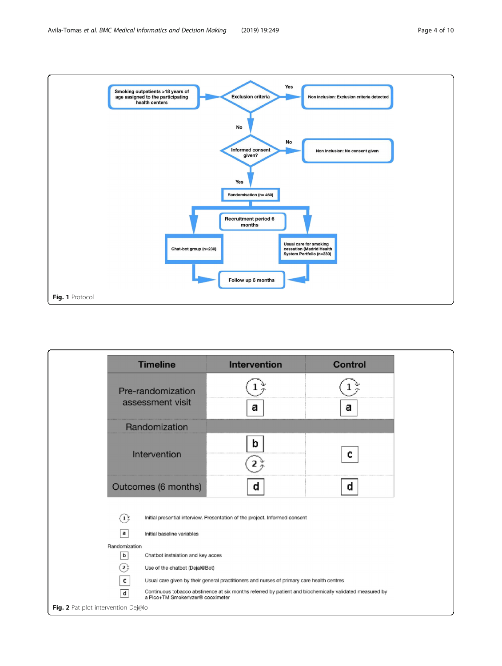<span id="page-3-0"></span>

|                                                         | <b>Timeline</b>                                                                                                                              | <b>Intervention</b> | <b>Control</b> |  |
|---------------------------------------------------------|----------------------------------------------------------------------------------------------------------------------------------------------|---------------------|----------------|--|
|                                                         | Pre-randomization<br>assessment visit                                                                                                        | а                   | а              |  |
|                                                         | Randomization                                                                                                                                |                     |                |  |
|                                                         | Intervention                                                                                                                                 | b                   | c              |  |
|                                                         | Outcomes (6 months)                                                                                                                          | d                   | d              |  |
| $\overline{(\mathbf{1})}$<br>a                          | Initial presential interview. Presentation of the project. Informed consent<br>Initial baseline variables                                    |                     |                |  |
| Randomization<br>b<br>Chatbot instalation and key acces |                                                                                                                                              |                     |                |  |
| $\overrightarrow{c}$                                    | Use of the chatbot (Dejal@Bot)                                                                                                               |                     |                |  |
| c                                                       | Usual care given by their general practitioners and nurses of primary care health centres                                                    |                     |                |  |
| $\mathsf{d}$                                            | Continuous tobacco abstinence at six months referred by patient and biochemically validated measured by<br>a Pico+TM Smokerlyzer® cooximeter |                     |                |  |
| Fig. 2 Pat plot intervention Dej@lo                     |                                                                                                                                              |                     |                |  |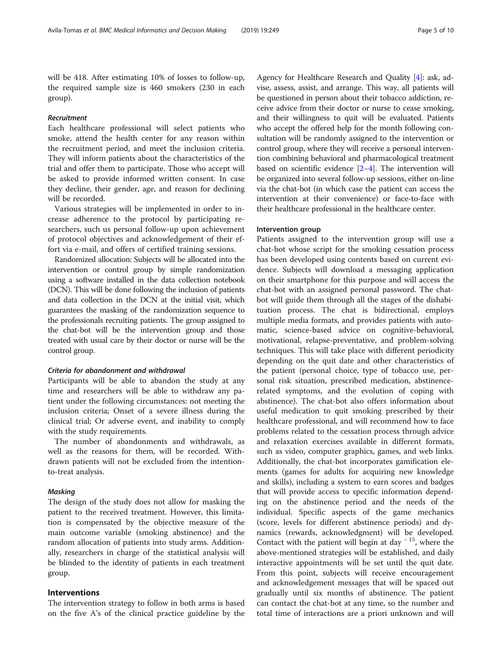will be 418. After estimating 10% of losses to follow-up, the required sample size is 460 smokers (230 in each group).

#### Recruitment

Each healthcare professional will select patients who smoke, attend the health center for any reason within the recruitment period, and meet the inclusion criteria. They will inform patients about the characteristics of the trial and offer them to participate. Those who accept will be asked to provide informed written consent. In case they decline, their gender, age, and reason for declining will be recorded.

Various strategies will be implemented in order to increase adherence to the protocol by participating researchers, such us personal follow-up upon achievement of protocol objectives and acknowledgement of their effort via e-mail, and offers of certified training sessions.

Randomized allocation: Subjects will be allocated into the intervention or control group by simple randomization using a software installed in the data collection notebook (DCN). This will be done following the inclusion of patients and data collection in the DCN at the initial visit, which guarantees the masking of the randomization sequence to the professionals recruiting patients. The group assigned to the chat-bot will be the intervention group and those treated with usual care by their doctor or nurse will be the control group.

#### Criteria for abandonment and withdrawal

Participants will be able to abandon the study at any time and researchers will be able to withdraw any patient under the following circumstances: not meeting the inclusion criteria; Onset of a severe illness during the clinical trial; Or adverse event, and inability to comply with the study requirements.

The number of abandonments and withdrawals, as well as the reasons for them, will be recorded. Withdrawn patients will not be excluded from the intentionto-treat analysis.

#### Masking

The design of the study does not allow for masking the patient to the received treatment. However, this limitation is compensated by the objective measure of the main outcome variable (smoking abstinence) and the random allocation of patients into study arms. Additionally, researchers in charge of the statistical analysis will be blinded to the identity of patients in each treatment group.

#### Interventions

The intervention strategy to follow in both arms is based on the five A's of the clinical practice guideline by the Agency for Healthcare Research and Quality [[4](#page-8-0)]: ask, advise, assess, assist, and arrange. This way, all patients will be questioned in person about their tobacco addiction, receive advice from their doctor or nurse to cease smoking, and their willingness to quit will be evaluated. Patients who accept the offered help for the month following consultation will be randomly assigned to the intervention or control group, where they will receive a personal intervention combining behavioral and pharmacological treatment based on scientific evidence [[2](#page-8-0)–[4](#page-8-0)]. The intervention will be organized into several follow-up sessions, either on-line via the chat-bot (in which case the patient can access the intervention at their convenience) or face-to-face with their healthcare professional in the healthcare center.

#### Intervention group

Patients assigned to the intervention group will use a chat-bot whose script for the smoking cessation process has been developed using contents based on current evidence. Subjects will download a messaging application on their smartphone for this purpose and will access the chat-bot with an assigned personal password. The chatbot will guide them through all the stages of the dishabituation process. The chat is bidirectional, employs multiple media formats, and provides patients with automatic, science-based advice on cognitive-behavioral, motivational, relapse-preventative, and problem-solving techniques. This will take place with different periodicity depending on the quit date and other characteristics of the patient (personal choice, type of tobacco use, personal risk situation, prescribed medication, abstinencerelated symptoms, and the evolution of coping with abstinence). The chat-bot also offers information about useful medication to quit smoking prescribed by their healthcare professional, and will recommend how to face problems related to the cessation process through advice and relaxation exercises available in different formats, such as video, computer graphics, games, and web links. Additionally, the chat-bot incorporates gamification elements (games for adults for acquiring new knowledge and skills), including a system to earn scores and badges that will provide access to specific information depending on the abstinence period and the needs of the individual. Specific aspects of the game mechanics (score, levels for different abstinence periods) and dynamics (rewards, acknowledgment) will be developed. Contact with the patient will begin at day  $^{-15}$ , where the above-mentioned strategies will be established, and daily interactive appointments will be set until the quit date. From this point, subjects will receive encouragement and acknowledgement messages that will be spaced out gradually until six months of abstinence. The patient can contact the chat-bot at any time, so the number and total time of interactions are a priori unknown and will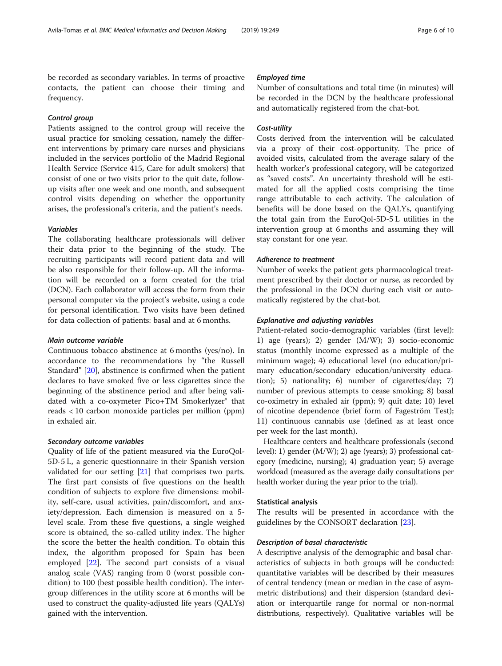be recorded as secondary variables. In terms of proactive contacts, the patient can choose their timing and frequency.

#### Control group

Patients assigned to the control group will receive the usual practice for smoking cessation, namely the different interventions by primary care nurses and physicians included in the services portfolio of the Madrid Regional Health Service (Service 415, Care for adult smokers) that consist of one or two visits prior to the quit date, followup visits after one week and one month, and subsequent control visits depending on whether the opportunity arises, the professional's criteria, and the patient's needs.

#### Variables

The collaborating healthcare professionals will deliver their data prior to the beginning of the study. The recruiting participants will record patient data and will be also responsible for their follow-up. All the information will be recorded on a form created for the trial (DCN). Each collaborator will access the form from their personal computer via the project's website, using a code for personal identification. Two visits have been defined for data collection of patients: basal and at 6 months.

#### Main outcome variable

Continuous tobacco abstinence at 6 months (yes/no). In accordance to the recommendations by "the Russell Standard" [[20\]](#page-9-0), abstinence is confirmed when the patient declares to have smoked five or less cigarettes since the beginning of the abstinence period and after being validated with a co-oxymeter Pico+TM Smokerlyzer<sup>®</sup> that reads < 10 carbon monoxide particles per million (ppm) in exhaled air.

#### Secondary outcome variables

Quality of life of the patient measured via the EuroQol-5D-5 L, a generic questionnaire in their Spanish version validated for our setting [\[21\]](#page-9-0) that comprises two parts. The first part consists of five questions on the health condition of subjects to explore five dimensions: mobility, self-care, usual activities, pain/discomfort, and anxiety/depression. Each dimension is measured on a 5 level scale. From these five questions, a single weighed score is obtained, the so-called utility index. The higher the score the better the health condition. To obtain this index, the algorithm proposed for Spain has been employed [\[22](#page-9-0)]. The second part consists of a visual analog scale (VAS) ranging from 0 (worst possible condition) to 100 (best possible health condition). The intergroup differences in the utility score at 6 months will be used to construct the quality-adjusted life years (QALYs) gained with the intervention.

#### Employed time

Number of consultations and total time (in minutes) will be recorded in the DCN by the healthcare professional and automatically registered from the chat-bot.

#### Cost-utility

Costs derived from the intervention will be calculated via a proxy of their cost-opportunity. The price of avoided visits, calculated from the average salary of the health worker's professional category, will be categorized as "saved costs". An uncertainty threshold will be estimated for all the applied costs comprising the time range attributable to each activity. The calculation of benefits will be done based on the QALYs, quantifying the total gain from the EuroQol-5D-5 L utilities in the intervention group at 6 months and assuming they will stay constant for one year.

#### Adherence to treatment

Number of weeks the patient gets pharmacological treatment prescribed by their doctor or nurse, as recorded by the professional in the DCN during each visit or automatically registered by the chat-bot.

#### Explanative and adjusting variables

Patient-related socio-demographic variables (first level): 1) age (years); 2) gender (M/W); 3) socio-economic status (monthly income expressed as a multiple of the minimum wage); 4) educational level (no education/primary education/secondary education/university education); 5) nationality; 6) number of cigarettes/day; 7) number of previous attempts to cease smoking; 8) basal co-oximetry in exhaled air (ppm); 9) quit date; 10) level of nicotine dependence (brief form of Fageström Test); 11) continuous cannabis use (defined as at least once per week for the last month).

Healthcare centers and healthcare professionals (second level): 1) gender (M/W); 2) age (years); 3) professional category (medicine, nursing); 4) graduation year; 5) average workload (measured as the average daily consultations per health worker during the year prior to the trial).

#### Statistical analysis

The results will be presented in accordance with the guidelines by the CONSORT declaration [\[23](#page-9-0)].

#### Description of basal characteristic

A descriptive analysis of the demographic and basal characteristics of subjects in both groups will be conducted: quantitative variables will be described by their measures of central tendency (mean or median in the case of asymmetric distributions) and their dispersion (standard deviation or interquartile range for normal or non-normal distributions, respectively). Qualitative variables will be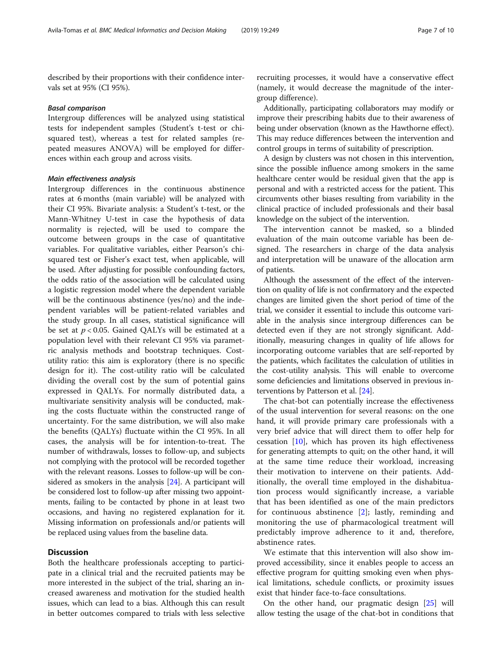described by their proportions with their confidence intervals set at 95% (CI 95%).

#### Basal comparison

Intergroup differences will be analyzed using statistical tests for independent samples (Student's t-test or chisquared test), whereas a test for related samples (repeated measures ANOVA) will be employed for differences within each group and across visits.

#### Main effectiveness analysis

Intergroup differences in the continuous abstinence rates at 6 months (main variable) will be analyzed with their CI 95%. Bivariate analysis: a Student's t-test, or the Mann-Whitney U-test in case the hypothesis of data normality is rejected, will be used to compare the outcome between groups in the case of quantitative variables. For qualitative variables, either Pearson's chisquared test or Fisher's exact test, when applicable, will be used. After adjusting for possible confounding factors, the odds ratio of the association will be calculated using a logistic regression model where the dependent variable will be the continuous abstinence (yes/no) and the independent variables will be patient-related variables and the study group. In all cases, statistical significance will be set at  $p < 0.05$ . Gained QALYs will be estimated at a population level with their relevant CI 95% via parametric analysis methods and bootstrap techniques. Costutility ratio: this aim is exploratory (there is no specific design for it). The cost-utility ratio will be calculated dividing the overall cost by the sum of potential gains expressed in QALYs. For normally distributed data, a multivariate sensitivity analysis will be conducted, making the costs fluctuate within the constructed range of uncertainty. For the same distribution, we will also make the benefits (QALYs) fluctuate within the CI 95%. In all cases, the analysis will be for intention-to-treat. The number of withdrawals, losses to follow-up, and subjects not complying with the protocol will be recorded together with the relevant reasons. Losses to follow-up will be considered as smokers in the analysis [\[24\]](#page-9-0). A participant will be considered lost to follow-up after missing two appointments, failing to be contacted by phone in at least two occasions, and having no registered explanation for it. Missing information on professionals and/or patients will be replaced using values from the baseline data.

#### **Discussion**

Both the healthcare professionals accepting to participate in a clinical trial and the recruited patients may be more interested in the subject of the trial, sharing an increased awareness and motivation for the studied health issues, which can lead to a bias. Although this can result in better outcomes compared to trials with less selective recruiting processes, it would have a conservative effect (namely, it would decrease the magnitude of the intergroup difference).

Additionally, participating collaborators may modify or improve their prescribing habits due to their awareness of being under observation (known as the Hawthorne effect). This may reduce differences between the intervention and control groups in terms of suitability of prescription.

A design by clusters was not chosen in this intervention, since the possible influence among smokers in the same healthcare center would be residual given that the app is personal and with a restricted access for the patient. This circumvents other biases resulting from variability in the clinical practice of included professionals and their basal knowledge on the subject of the intervention.

The intervention cannot be masked, so a blinded evaluation of the main outcome variable has been designed. The researchers in charge of the data analysis and interpretation will be unaware of the allocation arm of patients.

Although the assessment of the effect of the intervention on quality of life is not confirmatory and the expected changes are limited given the short period of time of the trial, we consider it essential to include this outcome variable in the analysis since intergroup differences can be detected even if they are not strongly significant. Additionally, measuring changes in quality of life allows for incorporating outcome variables that are self-reported by the patients, which facilitates the calculation of utilities in the cost-utility analysis. This will enable to overcome some deficiencies and limitations observed in previous interventions by Patterson et al. [\[24\]](#page-9-0).

The chat-bot can potentially increase the effectiveness of the usual intervention for several reasons: on the one hand, it will provide primary care professionals with a very brief advice that will direct them to offer help for cessation [[10\]](#page-8-0), which has proven its high effectiveness for generating attempts to quit; on the other hand, it will at the same time reduce their workload, increasing their motivation to intervene on their patients. Additionally, the overall time employed in the dishabituation process would significantly increase, a variable that has been identified as one of the main predictors for continuous abstinence [\[2](#page-8-0)]; lastly, reminding and monitoring the use of pharmacological treatment will predictably improve adherence to it and, therefore, abstinence rates.

We estimate that this intervention will also show improved accessibility, since it enables people to access an effective program for quitting smoking even when physical limitations, schedule conflicts, or proximity issues exist that hinder face-to-face consultations.

On the other hand, our pragmatic design [[25](#page-9-0)] will allow testing the usage of the chat-bot in conditions that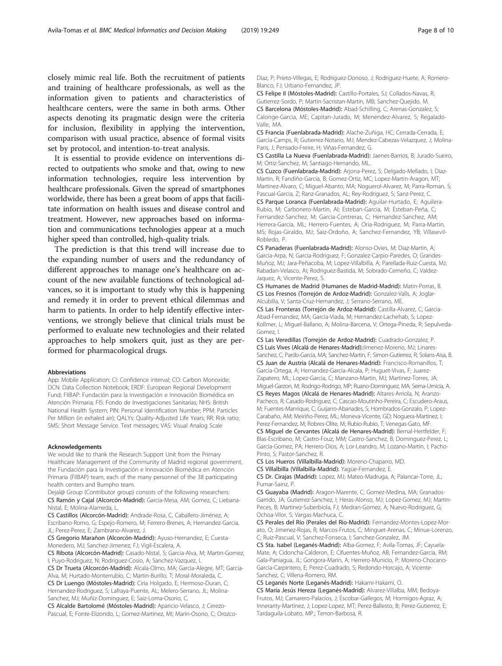closely mimic real life. Both the recruitment of patients and training of healthcare professionals, as well as the information given to patients and characteristics of healthcare centers, were the same in both arms. Other aspects denoting its pragmatic design were the criteria for inclusion, flexibility in applying the intervention, comparison with usual practice, absence of formal visits set by protocol, and intention-to-treat analysis.

It is essential to provide evidence on interventions directed to outpatients who smoke and that, owing to new information technologies, require less intervention by healthcare professionals. Given the spread of smartphones worldwide, there has been a great boom of apps that facilitate information on health issues and disease control and treatment. However, new approaches based on information and communications technologies appear at a much higher speed than controlled, high-quality trials.

The prediction is that this trend will increase due to the expanding number of users and the redundancy of different approaches to manage one's healthcare on account of the new available functions of technological advances, so it is important to study why this is happening and remedy it in order to prevent ethical dilemmas and harm to patients. In order to help identify effective interventions, we strongly believe that clinical trials must be performed to evaluate new technologies and their related approaches to help smokers quit, just as they are performed for pharmacological drugs.

#### Abbreviations

App: Mobile Application; CI: Confidence interval; CO: Carbon Monoxide; DCN: Data Collection Notebook; ERDF: European Regional Development Fund; FIIBAP: Fundación para la Investigación e Innovación Biomédica en Atención Primaria; FIS: Fondo de Investigaciones Sanitarias; NHS: British National Health System; PIN: Personal Identification Number; PPM: Particles Per Million (in exhaled air); QALYs: Quality-Adjusted Life Years; RR: Risk ratio; SMS: Short Message Service. Text messages; VAS: Visual Analog Scale

#### Acknowledgements

We would like to thank the Research Support Unit from the Primary Healthcare Management of the Community of Madrid regional government, the Fundación para la Investigación e Innovación Biomédica en Atención Primaria (FIIBAP) team, each of the many personnel of the 38 participating health centers and Bumpho team.

Dejal@ Group (Contributor group) consists of the following researchers: CS Ramón y Cajal (Alcorcón-Madrid): Garcia-Mesa, AM; Gomez, C; Liebana-Nistal, E; Molina-Alameda, L.

CS Castillos (Alcorcón-Madrid): Andrade-Rosa, C, Caballero-Jiménez, A; Escribano-Romo, G; Espejo-Romero, M; Ferrero-Brenes, A; Hernandez-Garcia, JL; Perez-Perez, E; Zambrano-Alvarez, J.

CS Gregorio Marañon (Alcorcón-Madrid): Ayuso-Hernandez, E; Cuesta-Monedero, MJ; Sanchez-Jimenez, FJ; Vigil-Escalera, A.

CS Ribota (Alcorcón-Madrid): Casado-Nistal, S; Garcia-Alva, M; Martin-Gomez, I; Puyo-Rodriguez, N; Rodriguez-Cosio, A; Sanchez-Vazquez, I.

CS Dr Trueta (Alcorcón-Madrid): Alcala-Olmo, MA; Garcia-Alegre, MT; Garcia-Alva, M; Hurtado-Monterrubio, C; Martin-Burillo, T; Moral-Moraleda, C. CS Dr Luengo (Móstoles-Madrid): Ciria Holgado, E; Hermoso-Duran, C; Hernandez-Rodriguez, S; Lafraya-Puente, AL; Melero-Serrano, JL; Molina-

Sanchez, MJ; Muñiz-Dominguez, E; Saiz-Loma-Osorio, C. CS Alcalde Bartolomé (Móstoles-Madrid): Aparicio-Velasco, J; Cerezo-Pascual, E; Fonte-Elizondo, L; Gomez-Martinez, MI; Marin-Osorio, C; OrozcoDiaz, P; Prieto-Villegas, E; Rodriguez-Donoso, J; Rodriguez-Huete, A; Romero-Blanco, FJ; Urbano-Fernandez, JP.

CS Felipe II (Móstoles-Madrid): Castillo-Portales, SJ; Collados-Navas, R; Gutierrez-Sordo, P; Martin-Sacristan-Martin, MB; Sanchez-Quejido, M. CS Barcelona (Móstoles-Madrid): Abad-Schilling, C; Arenas-Gonzalez, S; Calonge-Garcia, ME; Capitan-Jurado, M; Menendez-Alvarez, S; Regalado-Valle, MA.

CS Francia (Fuenlabrada-Madrid): Alache-Zuñiga, HC; Cerrada-Cerrada, E; Garcia-Camps, R; Gutierrez-Notario, MJ; Mendez-Cabezas-Velazquez, J; Molina-Paris, J; Pensado-Freire, H; Viñas-Fernandez, G.

CS Castilla La Nueva (Fuenlabrada-Madrid): Jaenes-Barrios, B; Jurado-Sueiro, M; Ortiz-Sanchez, M; Santiago-Hernando, ML.

CS Cuzco (Fuenlabrada-Madrid): Arjona-Perez, S; Delgado-Mellado, I; Diaz-Martin, R; Fandiño-Garcia, B; Gomez-Ortiz, MC; Lopez-Martin-Aragon, MT; Martinez-Alvaro, C; Miguel-Abanto, MA; Noguerol-Alvarez, M; Parra-Roman, S; Pascual-Garcia, Z; Ranz-Granados, AL; Rey-Rodriguez, S; Sanz-Perez, C. CS Parque Loranca (Fuenlabrada-Madrid): Aguilar-Hurtado, E; Aguilera-Rubio, M; Carbonero-Martin, AI; Esteban-Garcia, M; Esteban-Peña, C; Fernandez-Sanchez, M; Garcia-Contreras, C; Hernandez-Sanchez, AM; Herrera-Garcia, ML; Herrero-Fuentes, A; Oria-Rodriguez, M; Parra-Martin, MS; Rojas-Giraldo, MJ; Saiz-Ordoño, A; Sanchez-Fernandez, YB; Villasevil-Robledo, P.

CS Panaderas (Fuenlabrada-Madrid): Alonso-Ovies, M; Diaz-Martin, A; Garcia-Arpa, N; Garcia-Rodriguez, F; Gonzalez-Carpio-Paredes, O; Grandes-Muñoz, MJ; Jara-Peñacoba, M; Lopez-Villalbilla, A; Parellada-Ruiz-Cuesta, MJ; Rabadan-Velasco, AI; Rodriguez-Bastida, M; Sobrado-Cemeño, C; Valdez-Jaquez, A; Vicente-Perez, S.

CS Humanes de Madrid (Humanes de Madrid-Madrid): Matin-Porras, B. CS Los Fresnos (Torrejón de Ardoz-Madrid): Gonzalez-Valls, A; Joglar-Alcubilla, V; Santa-Cruz-Hernandez, J; Serrano-Serrano, ME.

CS Las Fronteras (Torrejón de Ardoz-Madrid): Castilla-Alvarez, C; Garcia-Abad-Fernandez, MA; Garcia-Viada, M; Hernandez-Lachehab, S; Lopez-Kollmer, L; Miguel-Ballano, A; Molina-Barcena, V; Ortega-Pineda, R; Sepulveda-Gomez, I.

CS Las Veredillas (Torrejón de Ardoz-Madrid): Cuadrado-Gonzalez, P. CS Luis Vives (Alcalá de Henares-Madrid):Jimenez-Moreno, MJ; Linares-Sanchez, C; Pardo-Garcia, MA; Sanchez-Martin, F; Simon-Gutierrez, R; Solans-Aisa, B. CS Juan de Austria (Alcalá de Henares-Madrid): Francisco-Romanillos, T; Garcia-Ortega, A; Hernandez-Garcia-Alcala, P; Huguet-Vivas, F; Juarez-Zapatero, ML; Lopez-Garcia, C; Manzano-Martin, MJ; Martinez-Torres, JA; Miguel-Garzon, M; Rodrigo-Rodrigo, MP; Ruano-Dominguez, MA; Serna-Urnicia, A. CS Reyes Magos (Alcalá de Henares-Madrid): Altares-Arriola, N; Aranzo-Pacheco, R; Casado-Rodriguez, C; Cascao-Moutinho-Pereira, C; Escudero-Araus, M; Fuentes-Manrique, C; Guijarro-Abanades, S; Hombrados-Gonzalo, P; Lopez-Carabaño, AM; Meiriño-Perez, ML; Moneva-Vicente, GD; Noguera-Martinez, I; Perez-Fernandez, M; Robres-Olite, M; Rubio-Rubio, T; Venegas-Gato, MF. CS Miguel de Cervantes (Alcalá de Henares-Madrid): Bernal-Hertfelder, F;

Blas-Escribano, M; Castro-Fouz, MM; Castro-Sanchez, B; Dominguez-Perez, L; Garcia-Gomez, PA; Herrero-Dios, A; Lor-Leandro, M; Lozano-Martin, I; Pacho-Pinto, S; Pastor-Sanchez, R.

CS Los Hueros (Villalbilla-Madrid): Moreno-Chaparro, MD.

CS Villalbilla (Villalbilla-Madrid): Yagüe-Fernandez, E.

CS Dr. Cirajas (Madrid): Lopez, MJ; Mateo-Madruga, A; Palancar-Torre, JL; Pumar-Sainz, P.

CS Guayaba (Madrid): Aragon-Marente, C; Gomez-Medina, MA; Granados-Garrido, JA; Gutierrez-Sanchez, I; Heras-Alonso, MJ; Lopez-Gomez, MJ; Martin-Peces, B; Martinez-Suberbiola, FJ; Medran-Gomez, A; Nuevo-Rodriguez, G; Ochoa-Vilor, S; Vargas-Machuca, C.

CS Perales del Río (Perales del Rio-Madrid): Fernandez-Montes-Lopez-Morato, O; Jimenez-Rojas, R; Marcos-Frutos, C; Minguet-Arenas, C; Minue-Lorenzo, C; Ruiz-Pascual, V; Sanchez-Fonseca, I; Sanchez-Gonzalez, JM.

CS Sta. Isabel (Leganés-Madrid): Alba-Gomez, F; Avila-Tomas, JF; Cayuela-Mate, A; Cidoncha-Calderon, E; Cifuentes-Muñoz, AB; Fernandez-Garcia, RM; Gala-Paniagua, JL; Gongora-Marin, A; Herrero-Municio, P; Moreno-Chocano-Garcia-Carpintero, E; Perez-Cuadrado, S; Redondo-Horcajo, A; Vicente-Sanchez, C; Villena-Romero, RM.

CS Leganés Norte (Leganés-Madrid): Hakami-Hakami, O.

CS María Jesús Hereza (Leganés-Madrid): Alvarez-Villalba, MM; Bedoya-Frutos, MJ; Camarero-Palacios, J; Escobar-Gallegos, M; Hormigos-Agraz, A; Innerarity-Martínez, J; Lopez-Lopez, MT; Perez-Ballesto, B; Perez-Gutierrez, E; Tardaguila-Lobato, MP.; Terron-Barbosa, R.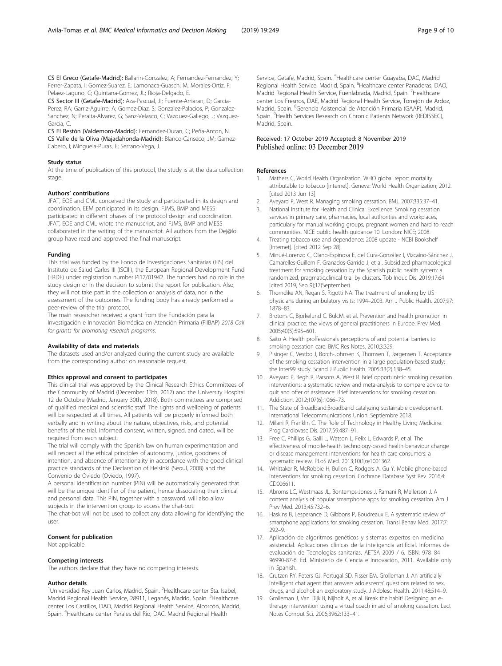<span id="page-8-0"></span>CS El Greco (Getafe-Madrid): Ballarin-Gonzalez, A; Fernandez-Fernandez, Y; Ferrer-Zapata, I; Gomez-Suarez, E; Lamonaca-Guasch, M; Morales-Ortiz, F; Pelaez-Laguno, C; Quintana-Gomez, JL; Rioja-Delgado, E.

CS Sector III (Getafe-Madrid): Aza-Pascual, JI; Fuente-Arriaran, D; Garcia-Perez, RA; Garriz-Aguirre, A; Gomez-Diaz, S; Gonzalez-Palacios, P; Gonzalez-Sanchez, N; Peralta-Alvarez, G; Sanz-Velasco, C; Vazquez-Gallego, J; Vazquez-Garcia, C.

CS El Restón (Valdemoro-Madrid): Fernandez-Duran, C; Peña-Anton, N. CS Valle de la Oliva (Majadahonda-Madrid): Blanco-Canseco, JM; Gamez-Cabero, I; Minguela-Puras, E; Serrano-Vega, J.

#### Study status

At the time of publication of this protocol, the study is at the data collection stage.

#### Authors' contributions

JFAT, EOE and CML conceived the study and participated in its design and coordination. EEM participated in its design. FJMS, BMP and MESS participated in different phases of the protocol design and coordination. JFAT, EOE and CML wrote the manuscript, and FJMS, BMP and MESS collaborated in the writing of the manuscript. All authors from the Dej@lo group have read and approved the final manuscript.

#### Funding

This trial was funded by the Fondo de Investigaciones Sanitarias (FIS) del Instituto de Salud Carlos III (ISCIII), the European Regional Development Fund (ERDF) under registration number PI17/01942. The funders had no role in the study design or in the decision to submit the report for publication. Also, they will not take part in the collection or analysis of data, nor in the assessment of the outcomes. The funding body has already performed a peer-review of the trial protocol.

The main researcher received a grant from the Fundación para la Investigación e Innovación Biomédica en Atención Primaria (FIIBAP) 2018 Call for grants for promoting research programs.

#### Availability of data and materials

The datasets used and/or analyzed during the current study are available from the corresponding author on reasonable request.

#### Ethics approval and consent to participates

This clinical trial was approved by the Clinical Research Ethics Committees of the Community of Madrid (December 13th, 2017) and the University Hospital 12 de Octubre (Madrid, January 30th, 2018). Both committees are comprised of qualified medical and scientific staff. The rights and wellbeing of patients will be respected at all times. All patients will be properly informed both verbally and in writing about the nature, objectives, risks, and potential benefits of the trial. Informed consent, written, signed, and dated, will be required from each subject.

The trial will comply with the Spanish law on human experimentation and will respect all the ethical principles of autonomy, justice, goodness of intention, and absence of intentionality in accordance with the good clinical practice standards of the Declaration of Helsinki (Seoul, 2008) and the Convenio de Oviedo (Oviedo, 1997).

A personal identification number (PIN) will be automatically generated that will be the unique identifier of the patient, hence dissociating their clinical and personal data. This PIN, together with a password, will also allow subjects in the intervention group to access the chat-bot. The chat-bot will not be used to collect any data allowing for identifying the

user.

#### Consent for publication

Not applicable.

#### Competing interests

The authors declare that they have no competing interests.

#### Author details

<sup>1</sup>Universidad Rey Juan Carlos, Madrid, Spain. <sup>2</sup>Healthcare center Sta. Isabel, Madrid Regional Health Service, 28911, Leganés, Madrid, Spain. <sup>3</sup>Healthcare center Los Castillos, DAO, Madrid Regional Health Service, Alcorcón, Madrid, Spain. <sup>4</sup>Healthcare center Perales del Río, DAC, Madrid Regional Health

Service, Getafe, Madrid, Spain. <sup>5</sup>Healthcare center Guayaba, DAC, Madrid Regional Health Service, Madrid, Spain. <sup>6</sup>Healthcare center Panaderas, DAO Madrid Regional Health Service, Fuenlabrada, Madrid, Spain. <sup>7</sup>Healthcare center Los Fresnos, DAE, Madrid Regional Health Service, Torrejón de Ardoz, Madrid, Spain. <sup>8</sup>Gerencia Asistencial de Atención Primaria (GAAP), Madrid, Spain. <sup>9</sup> Health Services Research on Chronic Patients Network (REDISSEC), Madrid, Spain.

# Received: 17 October 2019 Accepted: 8 November 2019

#### References

- 1. Mathers C, World Health Organization. WHO global report mortality attributable to tobacco [internet]. Geneva: World Health Organization; 2012. [cited 2013 Jun 13]
- 2. Aveyard P, West R. Managing smoking cessation. BMJ. 2007;335:37–41.
- 3. National Institute for Health and Clinical Excellence. Smoking cessation services in primary care, pharmacies, local authorities and workplaces, particularly for manual working groups, pregnant women and hard to reach communities. NICE public health guidance 10. London: NICE; 2008.
- 4. Treating tobacco use and dependence: 2008 update NCBI Bookshelf [Internet]. [cited 2012 Sep 28].
- 5. Minué-Lorenzo C, Olano-Espinosa E, del Cura-González I, Vizcaíno-Sánchez J, Camarelles-Guillem F, Granados-Garrido J, et al. Subsidized pharmacological treatment for smoking cessation by the Spanish public health system: a randomized, pragmatic,clinical trial by clusters. Tob Induc Dis. 2019;17:64 [cited 2019, Sep 9];17(September).
- 6. Thorndike AN, Regan S, Rigotti NA. The treatment of smoking by US physicians during ambulatory visits: 1994–2003. Am J Public Health. 2007;97: 1878–83.
- 7. Brotons C, Bjorkelund C. BulcM, et al. Prevention and health promotion in clinical practice: the views of general practitioners in Europe. Prev Med. 2005;40(5):595–601.
- 8. Saito A. Health proffessionals perceptions of and potential barriers to smoking cessation care. BMC Res Notes. 2010;3:329.
- 9. Pisinger C, Vestbo J, Borch-Johnsen K, Thomsen T, Jørgensen T. Acceptance of the smoking cessation intervention in a large population-based study: the Inter99 study. Scand J Public Health. 2005;33(2):138–45.
- 10. Aveyard P, Begh R, Parsons A, West R. Brief opportunistic smoking cessation interventions: a systematic review and meta-analysis to compare advice to quit and offer of assistance: Brief interventions for smoking cessation. Addiction. 2012;107(6):1066–73.
- 11. The State of Broadband:Broadband catalyzing sustainable development. International Telecommunications Union. Septiembre 2018.
- 12. Milani R, Franklin C. The Role of Technology in Healthy Living Medicine. Prog Cardiovasc Dis. 2017;59:487–91.
- 13. Free C, Phillips G, Galli L, Watson L, Felix L, Edwards P, et al. The effectiveness of mobile-health technology-based health behaviour change or disease management interventions for health care consumers: a systematic review. PLoS Med. 2013;10(1):e1001362.
- 14. Whittaker R, McRobbie H, Bullen C, Rodgers A, Gu Y. Mobile phone-based interventions for smoking cessation. Cochrane Database Syst Rev. 2016;4: CD006611.
- 15. Abroms LC, Westmaas JL, Bontemps-Jones J, Ramani R, Mellerson J. A content analysis of popular smartphone apps for smoking cessation. Am J Prev Med. 2013;45:732–6.
- 16. Haskins B, Lesperance D, Gibbons P, Boudreaux E. A systematic review of smartphone applications for smoking cessation. Transl Behav Med. 2017;7: 292–9.
- 17. Aplicación de algoritmos genéticos y sistemas expertos en medicina asistencial. Aplicaciones clínicas de la inteligencia artificial. Informes de evaluación de Tecnologías sanitarias. AETSA 2009 / 6. ISBN: 978–84– 96990-87-6. Ed. Ministerio de Ciencia e Innovación, 2011. Available only in Spanish.
- 18. Crutzen RY, Peters GJ, Portugal SD, Fisser EM, Grolleman J. An artificially intelligent chat agent that answers adolescents' questions related to sex, drugs, and alcohol: an exploratory study. J Adolesc Health. 2011;48:514–9.
- 19. Grolleman J, Van Dijk B, Nijholt A, et al. Break the habit! Designing an etherapy intervention using a virtual coach in aid of smoking cessation. Lect Notes Comput Sci. 2006;3962:133–41.